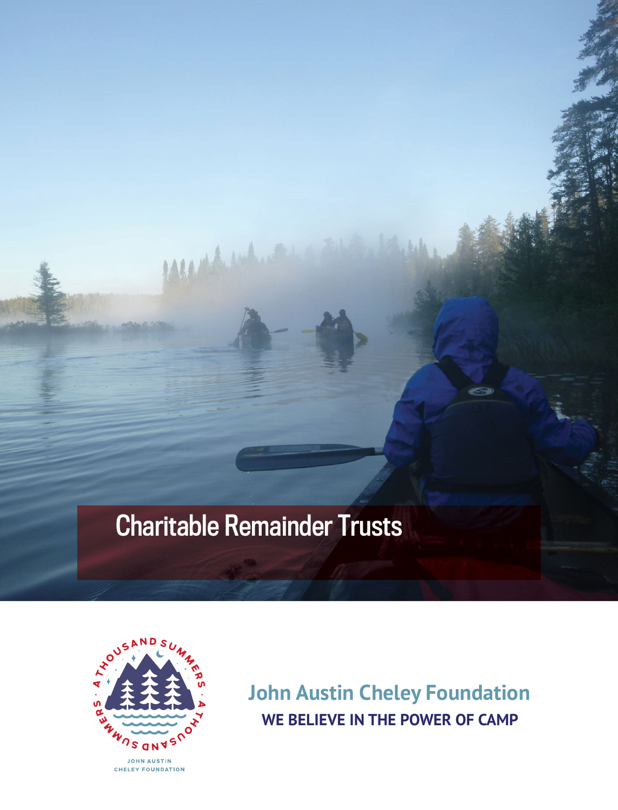# Charitable Remainder Trusts

MARANT



**John Austin Cheley Foundation WE BELIEVE IN THE POWER OF CAMP**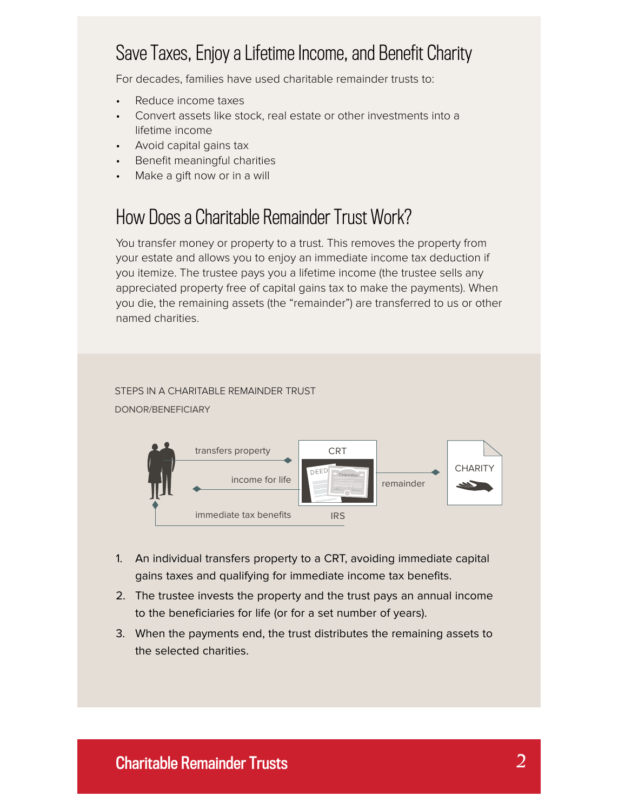# Save Taxes, Enjoy a Lifetime Income, and Benefit Charity

For decades, families have used charitable remainder trusts to:

- Reduce income taxes
- Convert assets like stock, real estate or other investments into a lifetime income
- Avoid capital gains tax
- Benefit meaningful charities
- Make a gift now or in a will

# How Does a Charitable Remainder Trust Work?

You transfer money or property to a trust. This removes the property from your estate and allows you to enjoy an immediate income tax deduction if you itemize. The trustee pays you a lifetime income (the trustee sells any appreciated property free of capital gains tax to make the payments). When you die, the remaining assets (the "remainder") are transferred to us or other named charities.

#### STEPS IN A CHARITABLE REMAINDER TRUST DONOR/BENEFICIARY



- 1. An individual transfers property to a CRT, avoiding immediate capital gains taxes and qualifying for immediate income tax benefits.
- 2. The trustee invests the property and the trust pays an annual income to the beneficiaries for life (or for a set number of years).
- 3. When the payments end, the trust distributes the remaining assets to the selected charities.

### Charitable Remainder Trusts *2*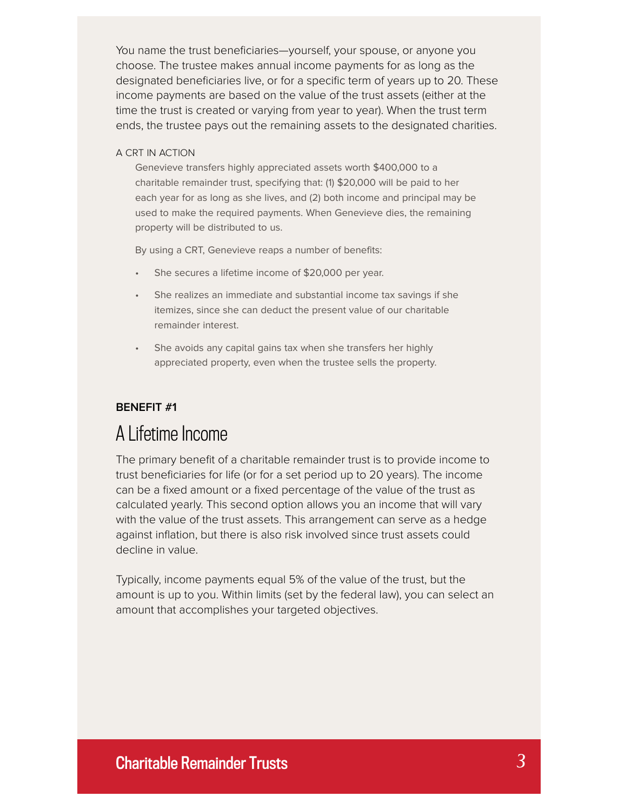You name the trust beneficiaries—yourself, your spouse, or anyone you choose. The trustee makes annual income payments for as long as the designated beneficiaries live, or for a specific term of years up to 20. These income payments are based on the value of the trust assets (either at the time the trust is created or varying from year to year). When the trust term ends, the trustee pays out the remaining assets to the designated charities.

#### A CRT IN ACTION

Genevieve transfers highly appreciated assets worth \$400,000 to a charitable remainder trust, specifying that: (1) \$20,000 will be paid to her each year for as long as she lives, and (2) both income and principal may be used to make the required payments. When Genevieve dies, the remaining property will be distributed to us.

By using a CRT, Genevieve reaps a number of benefits:

- She secures a lifetime income of \$20,000 per year.
- She realizes an immediate and substantial income tax savings if she itemizes, since she can deduct the present value of our charitable remainder interest.
- She avoids any capital gains tax when she transfers her highly appreciated property, even when the trustee sells the property.

#### **BENEFIT #1**

## A Lifetime Income

The primary benefit of a charitable remainder trust is to provide income to trust beneficiaries for life (or for a set period up to 20 years). The income can be a fixed amount or a fixed percentage of the value of the trust as calculated yearly. This second option allows you an income that will vary with the value of the trust assets. This arrangement can serve as a hedge against inflation, but there is also risk involved since trust assets could decline in value.

Typically, income payments equal 5% of the value of the trust, but the amount is up to you. Within limits (set by the federal law), you can select an amount that accomplishes your targeted objectives.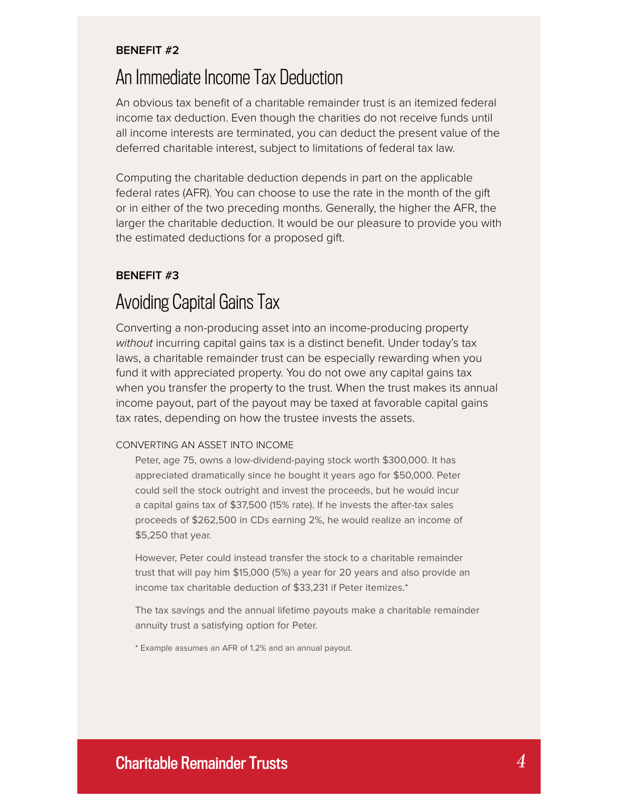#### **BENEFIT #2**

### An Immediate Income Tax Deduction

An obvious tax benefit of a charitable remainder trust is an itemized federal income tax deduction. Even though the charities do not receive funds until all income interests are terminated, you can deduct the present value of the deferred charitable interest, subject to limitations of federal tax law.

Computing the charitable deduction depends in part on the applicable federal rates (AFR). You can choose to use the rate in the month of the gift or in either of the two preceding months. Generally, the higher the AFR, the larger the charitable deduction. It would be our pleasure to provide you with the estimated deductions for a proposed gift.

#### **BENEFIT #3**

# Avoiding Capital Gains Tax

Converting a non-producing asset into an income-producing property without incurring capital gains tax is a distinct benefit. Under today's tax laws, a charitable remainder trust can be especially rewarding when you fund it with appreciated property. You do not owe any capital gains tax when you transfer the property to the trust. When the trust makes its annual income payout, part of the payout may be taxed at favorable capital gains tax rates, depending on how the trustee invests the assets.

#### CONVERTING AN ASSET INTO INCOME

Peter, age 75, owns a low-dividend-paying stock worth \$300,000. It has appreciated dramatically since he bought it years ago for \$50,000. Peter could sell the stock outright and invest the proceeds, but he would incur a capital gains tax of \$37,500 (15% rate). If he invests the after-tax sales proceeds of \$262,500 in CDs earning 2%, he would realize an income of \$5,250 that year.

However, Peter could instead transfer the stock to a charitable remainder trust that will pay him \$15,000 (5%) a year for 20 years and also provide an income tax charitable deduction of \$33,231 if Peter itemizes.\*

The tax savings and the annual lifetime payouts make a charitable remainder annuity trust a satisfying option for Peter.

\* Example assumes an AFR of 1.2% and an annual payout.